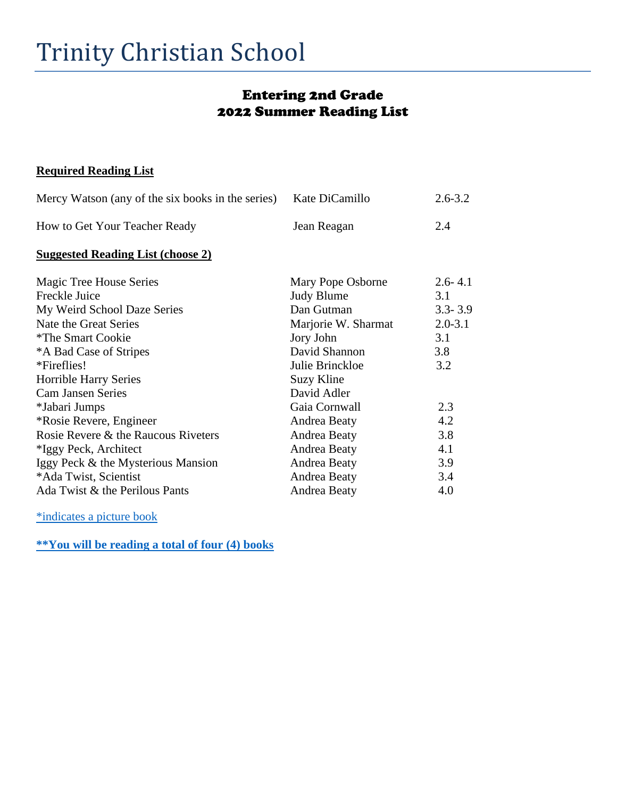### Entering 2nd Grade 2022 Summer Reading List

#### **Required Reading List**

| Mercy Watson (any of the six books in the series) | Kate DiCamillo      | $2.6 - 3.2$ |
|---------------------------------------------------|---------------------|-------------|
| How to Get Your Teacher Ready                     | Jean Reagan         | 2.4         |
| <b>Suggested Reading List (choose 2)</b>          |                     |             |
| Magic Tree House Series                           | Mary Pope Osborne   | $2.6 - 4.1$ |
| Freckle Juice                                     | <b>Judy Blume</b>   | 3.1         |
| My Weird School Daze Series                       | Dan Gutman          | $3.3 - 3.9$ |
| Nate the Great Series                             | Marjorie W. Sharmat | $2.0 - 3.1$ |
| <i>*The Smart Cookie</i>                          | Jory John           | 3.1         |
| *A Bad Case of Stripes                            | David Shannon       | 3.8         |
| *Fireflies!                                       | Julie Brinckloe     | 3.2         |
| Horrible Harry Series                             | Suzy Kline          |             |
| <b>Cam Jansen Series</b>                          | David Adler         |             |
| *Jabari Jumps                                     | Gaia Cornwall       | 2.3         |
| *Rosie Revere, Engineer                           | Andrea Beaty        | 4.2         |
| Rosie Revere & the Raucous Riveters               | Andrea Beaty        | 3.8         |
| *Iggy Peck, Architect                             | Andrea Beaty        | 4.1         |
| Iggy Peck & the Mysterious Mansion                | Andrea Beaty        | 3.9         |
| *Ada Twist, Scientist                             | Andrea Beaty        | 3.4         |
| Ada Twist & the Perilous Pants                    | Andrea Beaty        | 4.0         |

\*indicates a picture book

**\*\*You will be reading a total of four (4) books**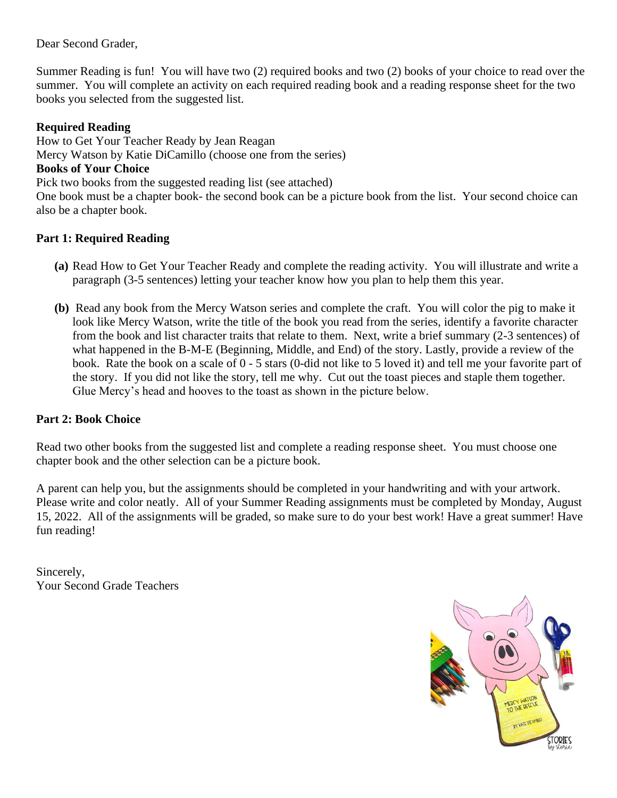Dear Second Grader,

Summer Reading is fun! You will have two (2) required books and two (2) books of your choice to read over the summer. You will complete an activity on each required reading book and a reading response sheet for the two books you selected from the suggested list.

#### **Required Reading**

How to Get Your Teacher Ready by Jean Reagan Mercy Watson by Katie DiCamillo (choose one from the series) **Books of Your Choice**  Pick two books from the suggested reading list (see attached) One book must be a chapter book- the second book can be a picture book from the list. Your second choice can also be a chapter book.

#### **Part 1: Required Reading**

- **(a)** Read How to Get Your Teacher Ready and complete the reading activity. You will illustrate and write a paragraph (3-5 sentences) letting your teacher know how you plan to help them this year.
- **(b)** Read any book from the Mercy Watson series and complete the craft. You will color the pig to make it look like Mercy Watson, write the title of the book you read from the series, identify a favorite character from the book and list character traits that relate to them. Next, write a brief summary (2-3 sentences) of what happened in the B-M-E (Beginning, Middle, and End) of the story. Lastly, provide a review of the book. Rate the book on a scale of 0 - 5 stars (0-did not like to 5 loved it) and tell me your favorite part of the story. If you did not like the story, tell me why. Cut out the toast pieces and staple them together. Glue Mercy's head and hooves to the toast as shown in the picture below.

#### **Part 2: Book Choice**

Read two other books from the suggested list and complete a reading response sheet. You must choose one chapter book and the other selection can be a picture book.

A parent can help you, but the assignments should be completed in your handwriting and with your artwork. Please write and color neatly. All of your Summer Reading assignments must be completed by Monday, August 15, 2022. All of the assignments will be graded, so make sure to do your best work! Have a great summer! Have fun reading!

Sincerely, Your Second Grade Teachers

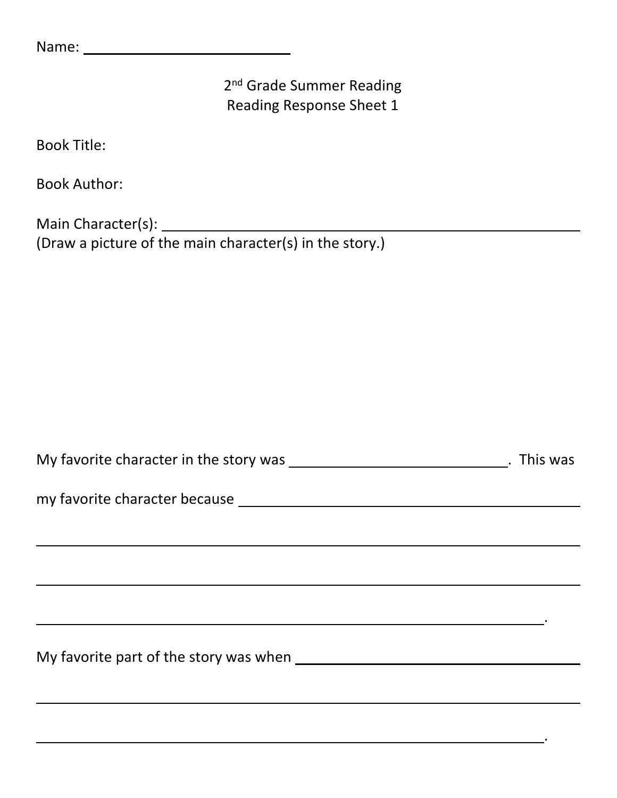2<sup>nd</sup> Grade Summer Reading Reading Response Sheet 1

Book Title:

Book Author:

Main Character(s): (Draw a picture of the main character(s) in the story.)

| My favorite character in the story was<br>. This was |
|------------------------------------------------------|
|------------------------------------------------------|

<u> 1989 - Johann Stoff, deutscher Stoffen und der Stoffen und der Stoffen und der Stoffen und der Stoffen und der</u>

.

.

my favorite character because

My favorite part of the story was when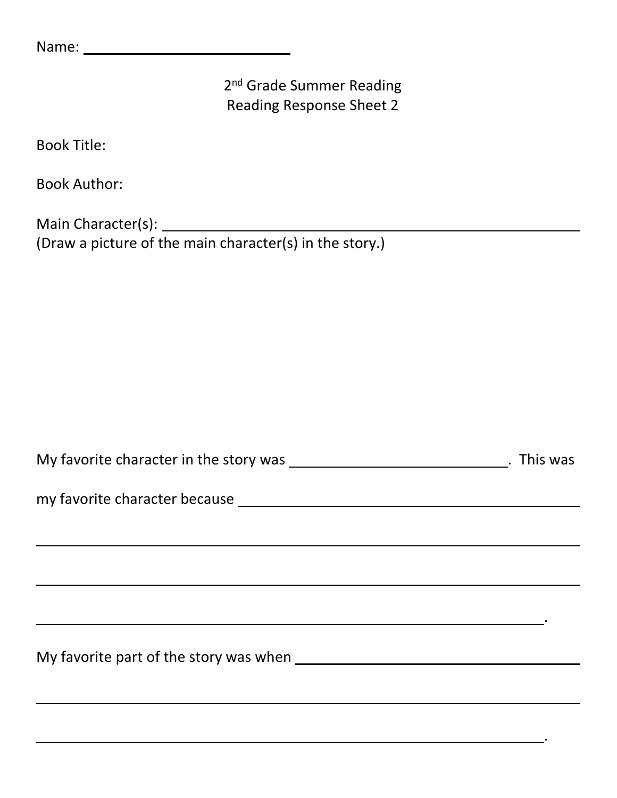2<sup>nd</sup> Grade Summer Reading Reading Response Sheet 2

Book Title:

Book Author:

Main Character(s): (Draw a picture of the main character(s) in the story.)

| My favorite character in the story was<br>. This was |
|------------------------------------------------------|
|------------------------------------------------------|

<u> 1989 - Johann Stoff, deutscher Stoffen und der Stoffen und der Stoffen und der Stoffen und der Stoffen und der</u>

.

.

my favorite character because

My favorite part of the story was when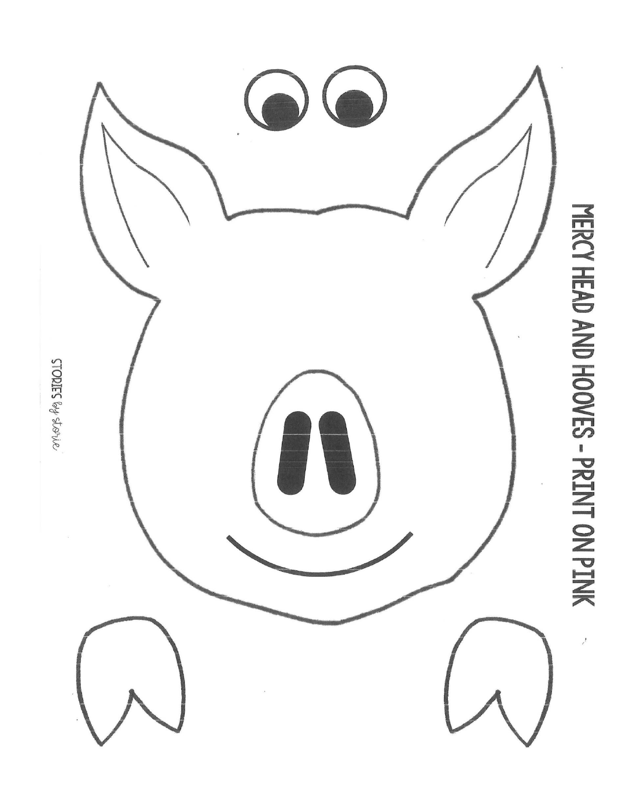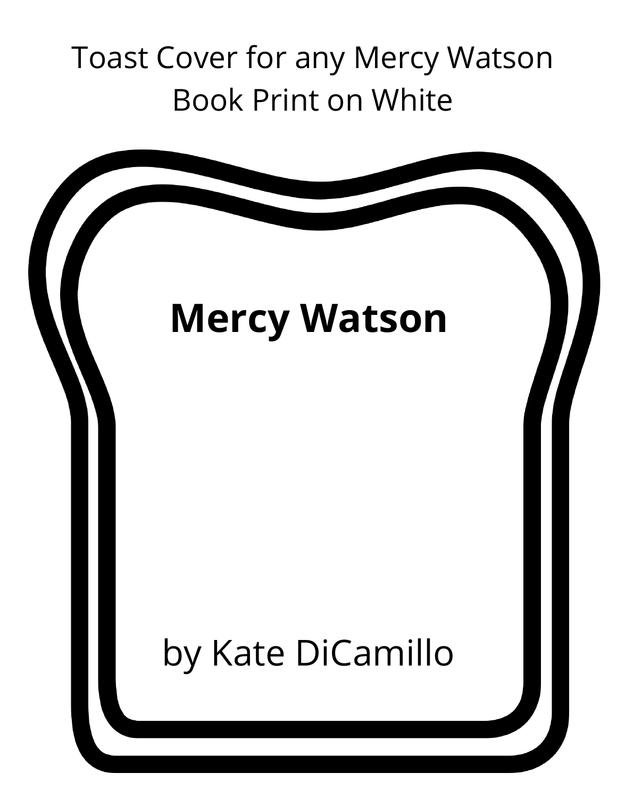## Toast Cover for any Mercy Watson Book Print on White

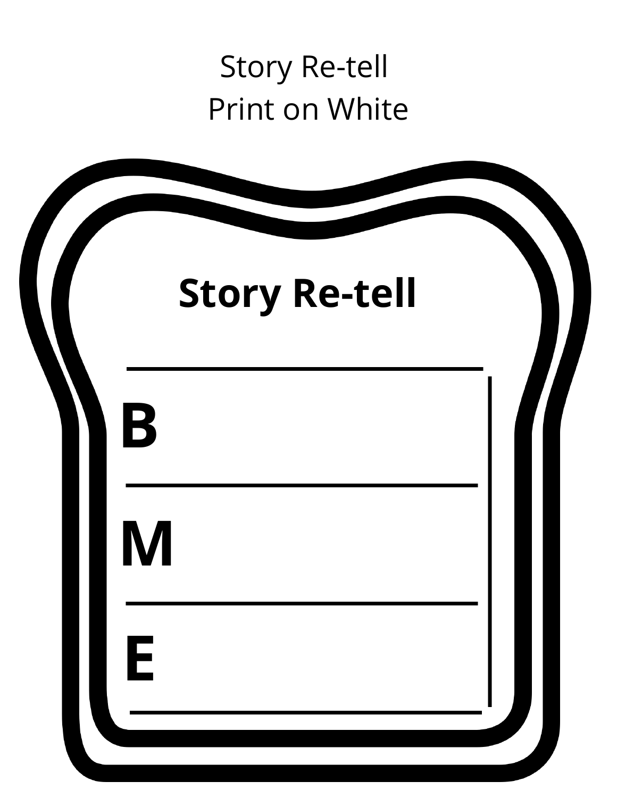### Story Re-tell Print on White

| <b>Story Re-tell</b> |  |
|----------------------|--|
| B                    |  |
| M                    |  |
| E                    |  |
|                      |  |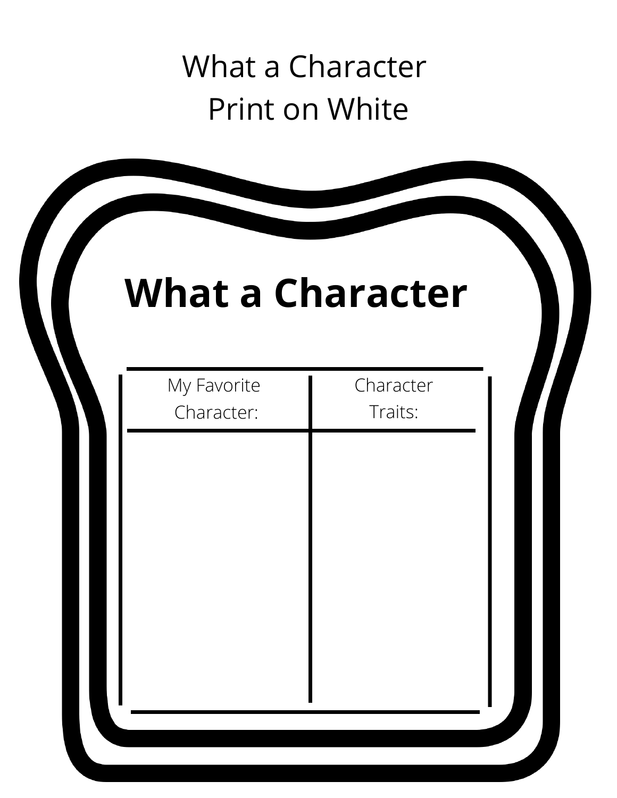## What a Character Print on White

|                           | <b>What a Character</b> |
|---------------------------|-------------------------|
| My Favorite<br>Character: | Character<br>Traits:    |
|                           |                         |
|                           |                         |
|                           |                         |
|                           |                         |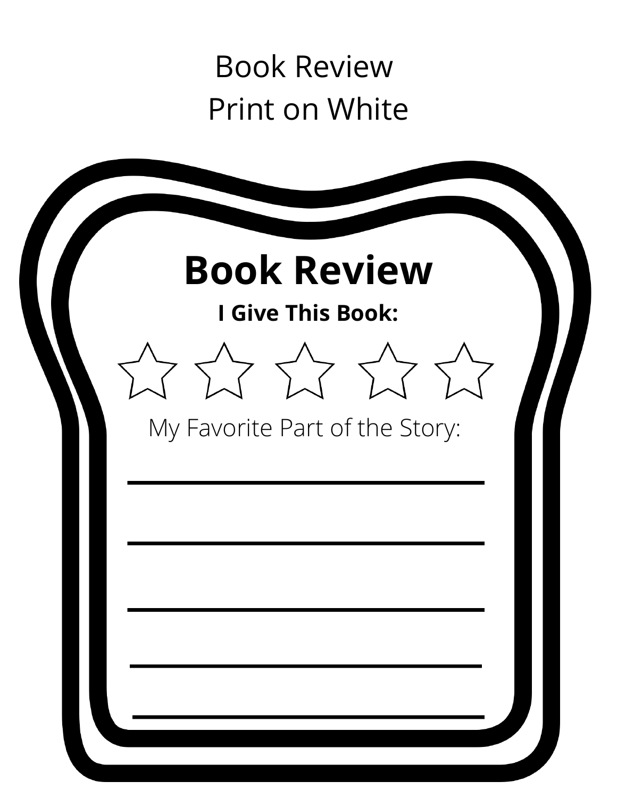### Book Review Print on White

|  | <b>I Give This Book:</b> | <b>Book Review</b>             |  |
|--|--------------------------|--------------------------------|--|
|  |                          |                                |  |
|  |                          | My Favorite Part of the Story: |  |
|  |                          |                                |  |
|  |                          |                                |  |
|  |                          |                                |  |